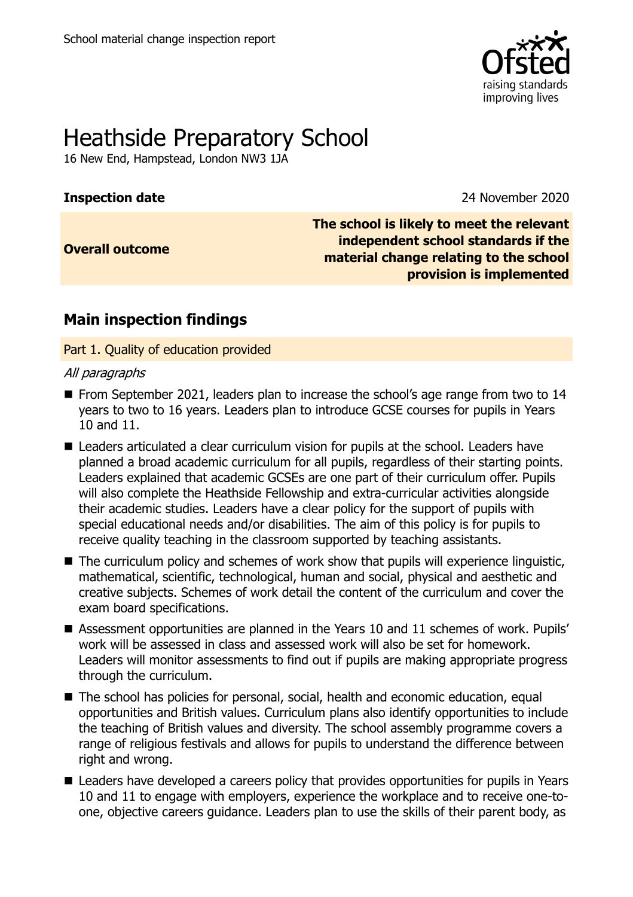

# Heathside Preparatory School

16 New End, Hampstead, London NW3 1JA

**Inspection date** 2020

**Overall outcome**

**The school is likely to meet the relevant independent school standards if the material change relating to the school provision is implemented**

## **Main inspection findings**

Part 1. Quality of education provided

## All paragraphs

- From September 2021, leaders plan to increase the school's age range from two to 14 years to two to 16 years. Leaders plan to introduce GCSE courses for pupils in Years 10 and 11.
- Leaders articulated a clear curriculum vision for pupils at the school. Leaders have planned a broad academic curriculum for all pupils, regardless of their starting points. Leaders explained that academic GCSEs are one part of their curriculum offer. Pupils will also complete the Heathside Fellowship and extra-curricular activities alongside their academic studies. Leaders have a clear policy for the support of pupils with special educational needs and/or disabilities. The aim of this policy is for pupils to receive quality teaching in the classroom supported by teaching assistants.
- $\blacksquare$  The curriculum policy and schemes of work show that pupils will experience linguistic, mathematical, scientific, technological, human and social, physical and aesthetic and creative subjects. Schemes of work detail the content of the curriculum and cover the exam board specifications.
- Assessment opportunities are planned in the Years 10 and 11 schemes of work. Pupils' work will be assessed in class and assessed work will also be set for homework. Leaders will monitor assessments to find out if pupils are making appropriate progress through the curriculum.
- The school has policies for personal, social, health and economic education, equal opportunities and British values. Curriculum plans also identify opportunities to include the teaching of British values and diversity. The school assembly programme covers a range of religious festivals and allows for pupils to understand the difference between right and wrong.
- Leaders have developed a careers policy that provides opportunities for pupils in Years 10 and 11 to engage with employers, experience the workplace and to receive one-toone, objective careers guidance. Leaders plan to use the skills of their parent body, as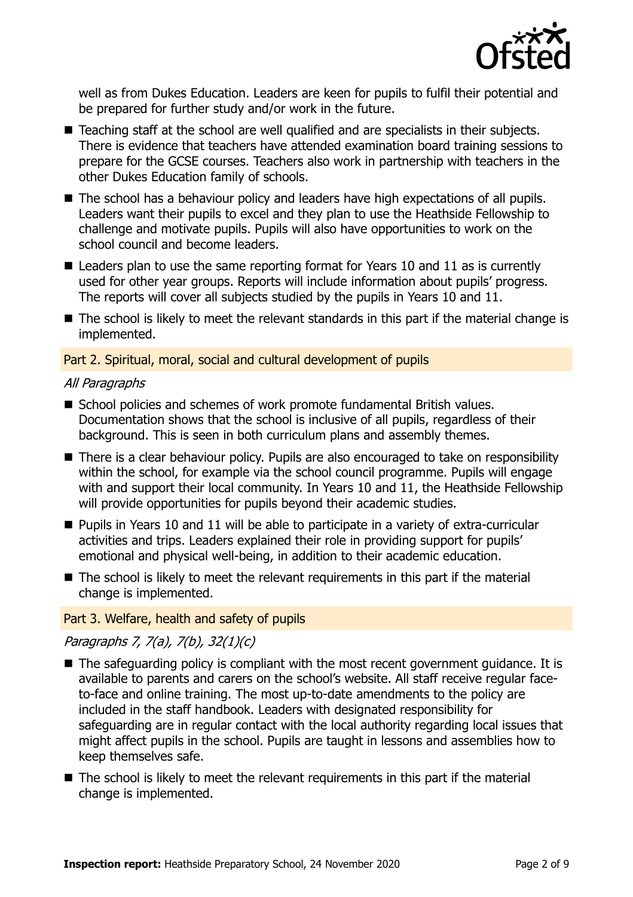

well as from Dukes Education. Leaders are keen for pupils to fulfil their potential and be prepared for further study and/or work in the future.

- Teaching staff at the school are well qualified and are specialists in their subjects. There is evidence that teachers have attended examination board training sessions to prepare for the GCSE courses. Teachers also work in partnership with teachers in the other Dukes Education family of schools.
- The school has a behaviour policy and leaders have high expectations of all pupils. Leaders want their pupils to excel and they plan to use the Heathside Fellowship to challenge and motivate pupils. Pupils will also have opportunities to work on the school council and become leaders.
- Leaders plan to use the same reporting format for Years 10 and 11 as is currently used for other year groups. Reports will include information about pupils' progress. The reports will cover all subjects studied by the pupils in Years 10 and 11.
- The school is likely to meet the relevant standards in this part if the material change is implemented.

## Part 2. Spiritual, moral, social and cultural development of pupils

#### All Paragraphs

- School policies and schemes of work promote fundamental British values. Documentation shows that the school is inclusive of all pupils, regardless of their background. This is seen in both curriculum plans and assembly themes.
- There is a clear behaviour policy. Pupils are also encouraged to take on responsibility within the school, for example via the school council programme. Pupils will engage with and support their local community. In Years 10 and 11, the Heathside Fellowship will provide opportunities for pupils beyond their academic studies.
- **Pupils in Years 10 and 11 will be able to participate in a variety of extra-curricular** activities and trips. Leaders explained their role in providing support for pupils' emotional and physical well-being, in addition to their academic education.
- $\blacksquare$  The school is likely to meet the relevant requirements in this part if the material change is implemented.

## Part 3. Welfare, health and safety of pupils

## Paragraphs 7, 7(a), 7(b), 32(1)(c)

- The safeguarding policy is compliant with the most recent government guidance. It is available to parents and carers on the school's website. All staff receive regular faceto-face and online training. The most up-to-date amendments to the policy are included in the staff handbook. Leaders with designated responsibility for safeguarding are in regular contact with the local authority regarding local issues that might affect pupils in the school. Pupils are taught in lessons and assemblies how to keep themselves safe.
- $\blacksquare$  The school is likely to meet the relevant requirements in this part if the material change is implemented.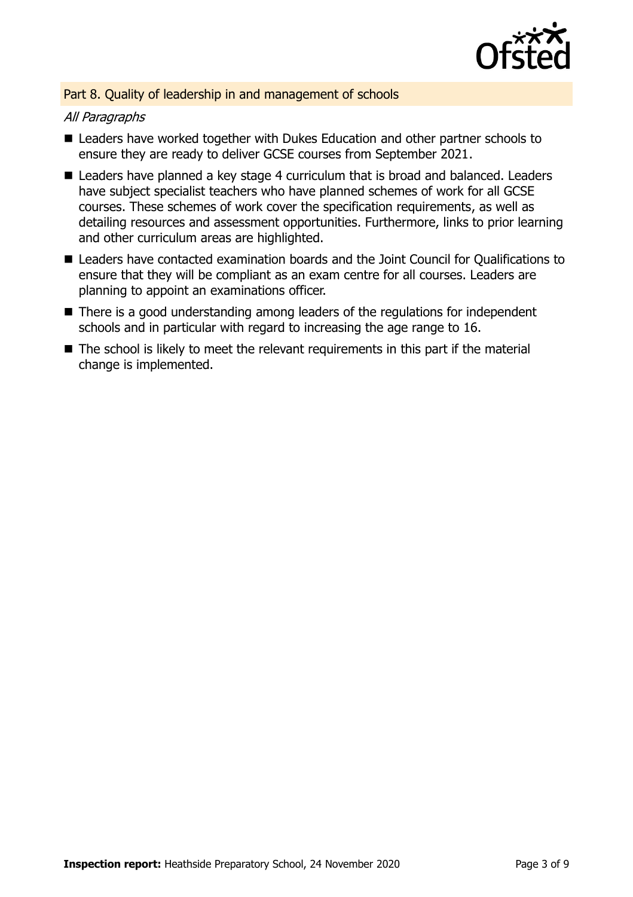

## Part 8. Quality of leadership in and management of schools

## All Paragraphs

- Leaders have worked together with Dukes Education and other partner schools to ensure they are ready to deliver GCSE courses from September 2021.
- Leaders have planned a key stage 4 curriculum that is broad and balanced. Leaders have subject specialist teachers who have planned schemes of work for all GCSE courses. These schemes of work cover the specification requirements, as well as detailing resources and assessment opportunities. Furthermore, links to prior learning and other curriculum areas are highlighted.
- Leaders have contacted examination boards and the Joint Council for Qualifications to ensure that they will be compliant as an exam centre for all courses. Leaders are planning to appoint an examinations officer.
- There is a good understanding among leaders of the regulations for independent schools and in particular with regard to increasing the age range to 16.
- $\blacksquare$  The school is likely to meet the relevant requirements in this part if the material change is implemented.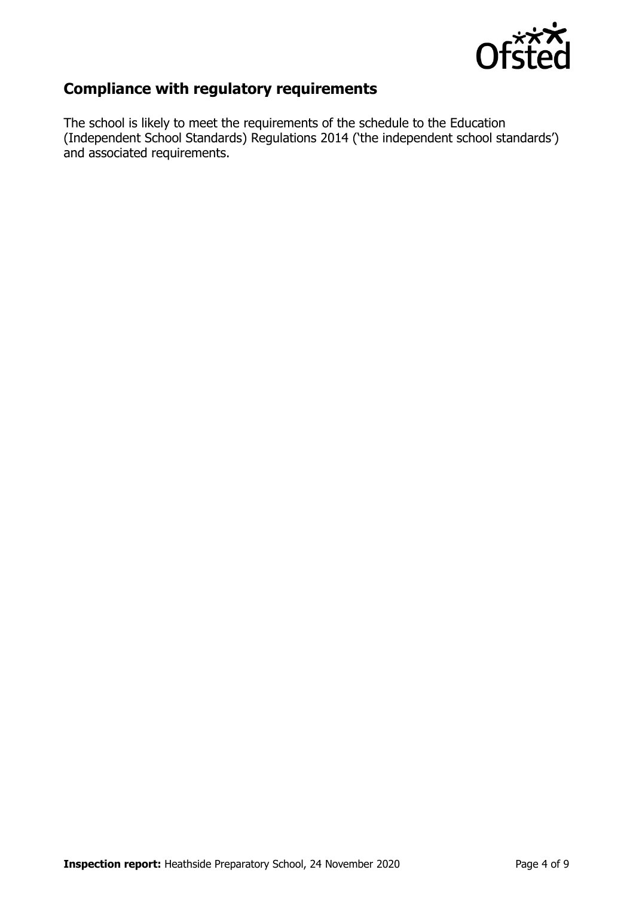

## **Compliance with regulatory requirements**

The school is likely to meet the requirements of the schedule to the Education (Independent School Standards) Regulations 2014 ('the independent school standards') and associated requirements.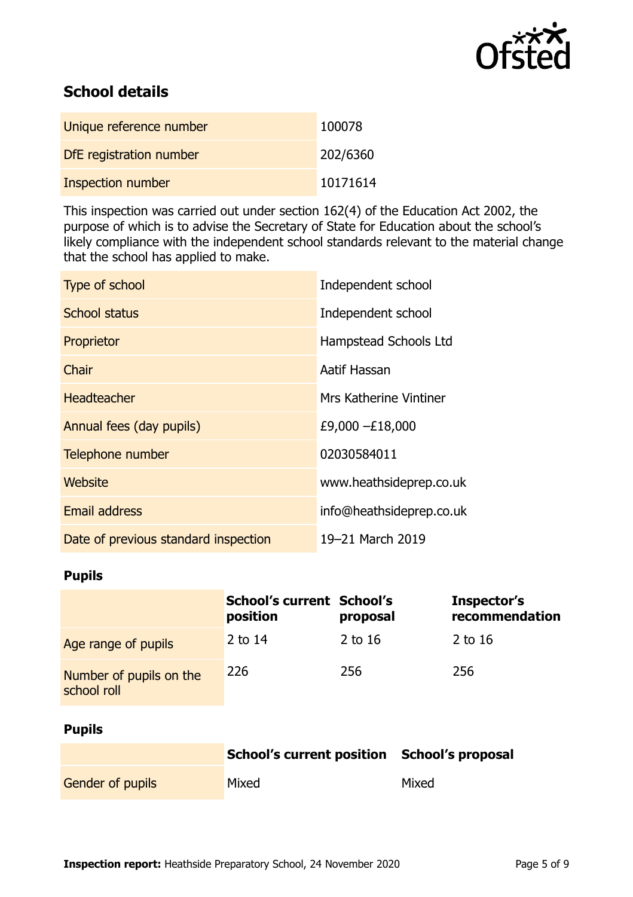

## **School details**

| Unique reference number | 100078   |
|-------------------------|----------|
| DfE registration number | 202/6360 |
| Inspection number       | 10171614 |

This inspection was carried out under section 162(4) of the Education Act 2002, the purpose of which is to advise the Secretary of State for Education about the school's likely compliance with the independent school standards relevant to the material change that the school has applied to make.

| Type of school                       | Independent school       |
|--------------------------------------|--------------------------|
| <b>School status</b>                 | Independent school       |
| Proprietor                           | Hampstead Schools Ltd    |
| Chair                                | Aatif Hassan             |
| <b>Headteacher</b>                   | Mrs Katherine Vintiner   |
| Annual fees (day pupils)             | £9,000 -£18,000          |
| Telephone number                     | 02030584011              |
| Website                              | www.heathsideprep.co.uk  |
| Email address                        | info@heathsideprep.co.uk |
| Date of previous standard inspection | 19-21 March 2019         |

## **Pupils**

|                                        | <b>School's current School's</b><br>position | proposal  | Inspector's<br>recommendation |
|----------------------------------------|----------------------------------------------|-----------|-------------------------------|
| Age range of pupils                    | 2 to $14$                                    | 2 to $16$ | $2$ to 16                     |
| Number of pupils on the<br>school roll | 226                                          | 256       | 256                           |

## **Pupils**

|                         | School's current position School's proposal |       |
|-------------------------|---------------------------------------------|-------|
| <b>Gender of pupils</b> | Mixed                                       | Mixed |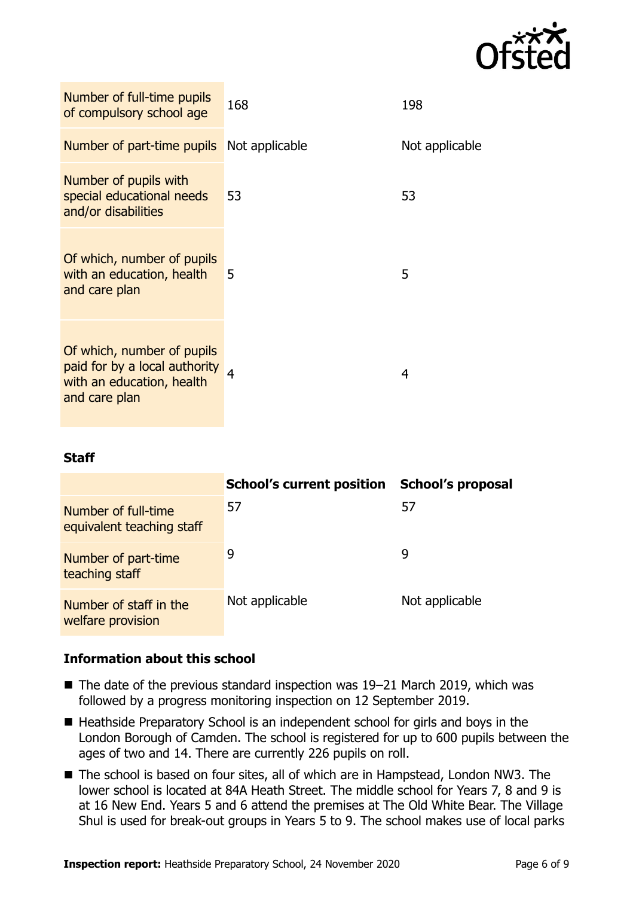

| Number of full-time pupils<br>of compulsory school age                                                    | 168 | 198            |
|-----------------------------------------------------------------------------------------------------------|-----|----------------|
| <b>Number of part-time pupils</b> Not applicable                                                          |     | Not applicable |
| Number of pupils with<br>special educational needs<br>and/or disabilities                                 | 53  | 53             |
| Of which, number of pupils<br>with an education, health<br>and care plan                                  | 5   | 5              |
| Of which, number of pupils<br>paid for by a local authority<br>with an education, health<br>and care plan |     | 4              |

## **Staff**

|                                                  | <b>School's current position</b> | <b>School's proposal</b> |
|--------------------------------------------------|----------------------------------|--------------------------|
| Number of full-time<br>equivalent teaching staff | 57                               | 57                       |
| Number of part-time<br>teaching staff            | 9                                | 9                        |
| Number of staff in the<br>welfare provision      | Not applicable                   | Not applicable           |

## **Information about this school**

- The date of the previous standard inspection was 19–21 March 2019, which was followed by a progress monitoring inspection on 12 September 2019.
- Heathside Preparatory School is an independent school for girls and boys in the London Borough of Camden. The school is registered for up to 600 pupils between the ages of two and 14. There are currently 226 pupils on roll.
- The school is based on four sites, all of which are in Hampstead, London NW3. The lower school is located at 84A Heath Street. The middle school for Years 7, 8 and 9 is at 16 New End. Years 5 and 6 attend the premises at The Old White Bear. The Village Shul is used for break-out groups in Years 5 to 9. The school makes use of local parks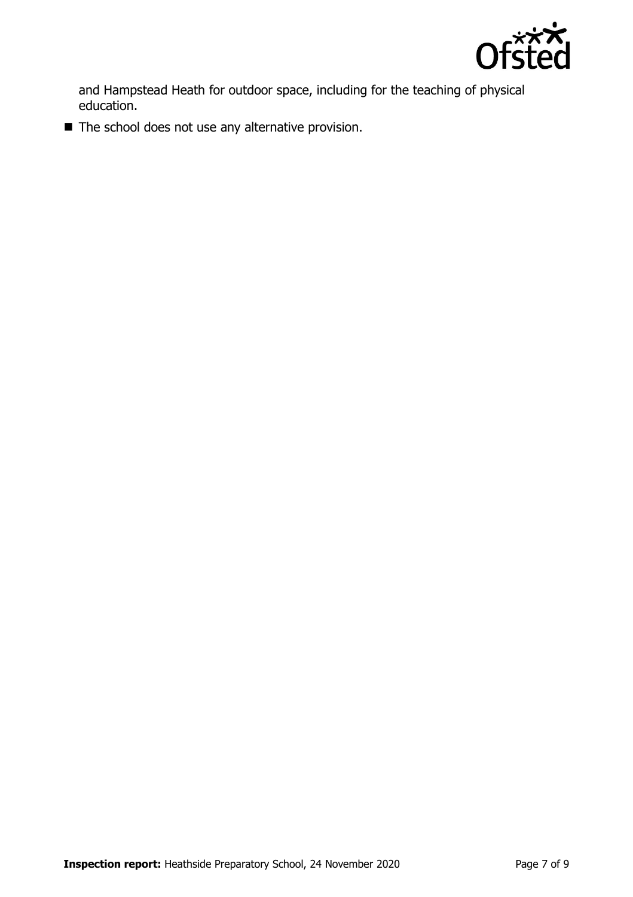

and Hampstead Heath for outdoor space, including for the teaching of physical education.

■ The school does not use any alternative provision.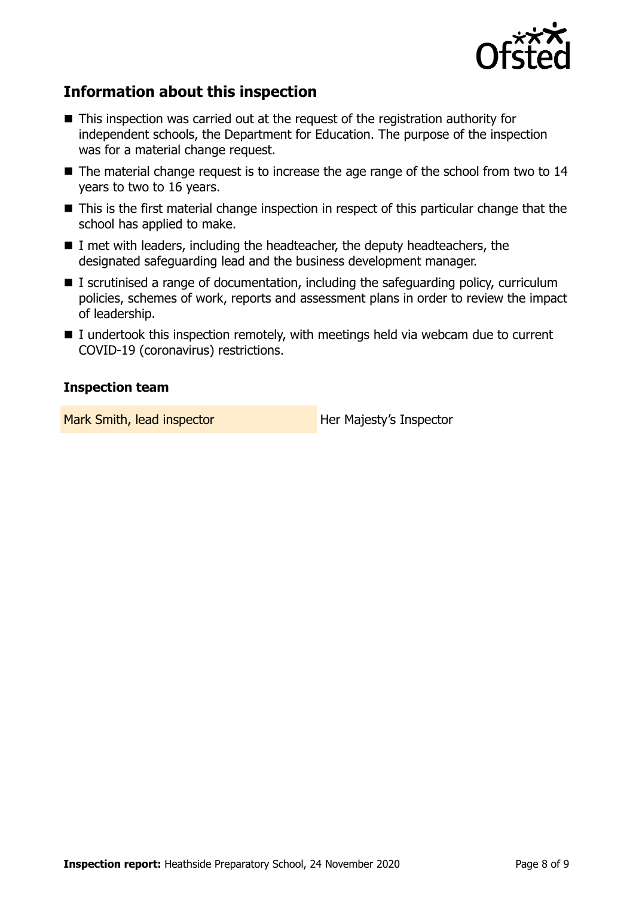

## **Information about this inspection**

- This inspection was carried out at the request of the registration authority for independent schools, the Department for Education. The purpose of the inspection was for a material change request.
- The material change request is to increase the age range of the school from two to 14 years to two to 16 years.
- This is the first material change inspection in respect of this particular change that the school has applied to make.
- I met with leaders, including the headteacher, the deputy headteachers, the designated safeguarding lead and the business development manager.
- $\blacksquare$  I scrutinised a range of documentation, including the safeguarding policy, curriculum policies, schemes of work, reports and assessment plans in order to review the impact of leadership.
- I undertook this inspection remotely, with meetings held via webcam due to current COVID-19 (coronavirus) restrictions.

## **Inspection team**

Mark Smith, lead inspector **Her Majesty's Inspector**